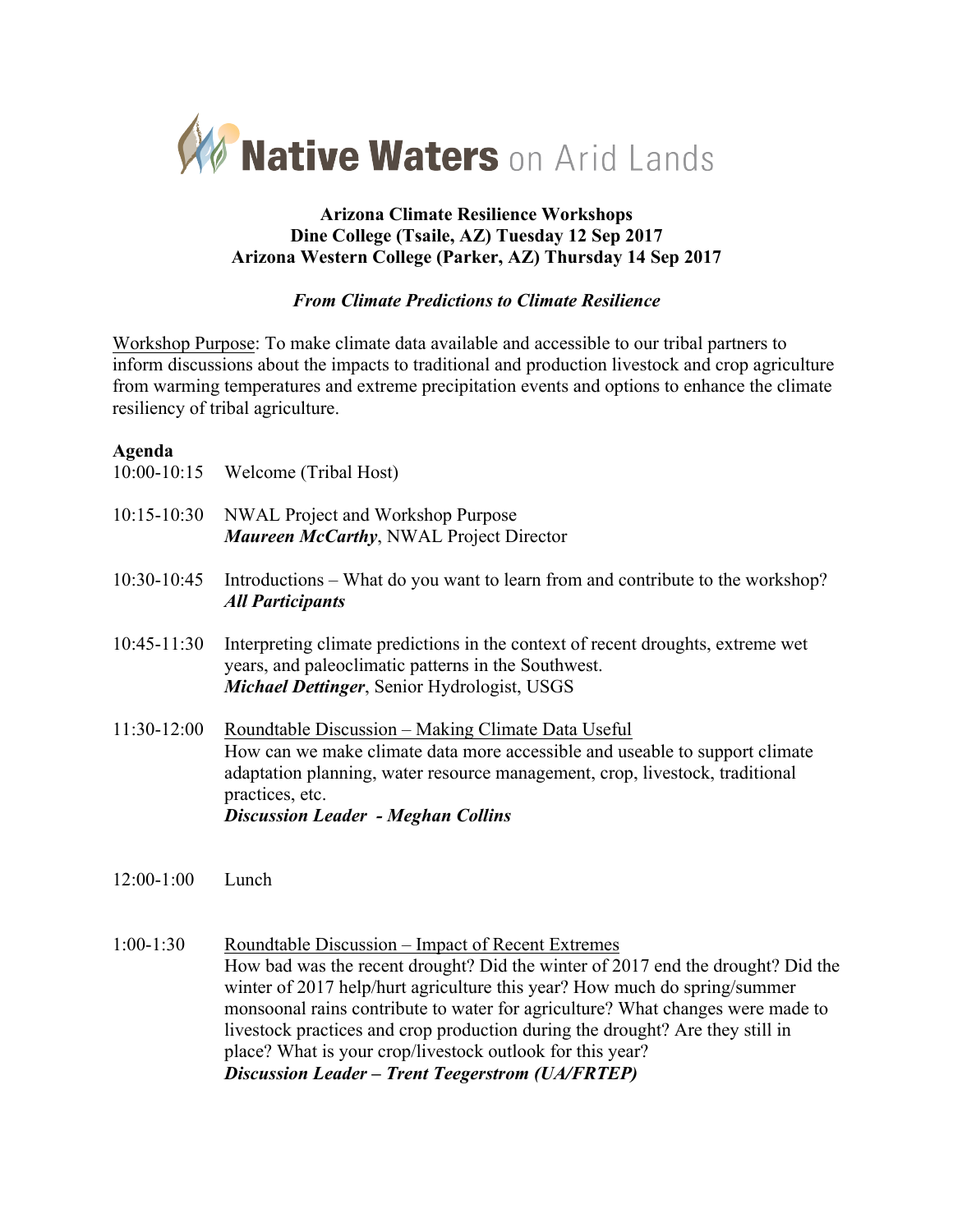

## **Arizona Climate Resilience Workshops Dine College (Tsaile, AZ) Tuesday 12 Sep 2017 Arizona Western College (Parker, AZ) Thursday 14 Sep 2017**

## *From Climate Predictions to Climate Resilience*

Workshop Purpose: To make climate data available and accessible to our tribal partners to inform discussions about the impacts to traditional and production livestock and crop agriculture from warming temperatures and extreme precipitation events and options to enhance the climate resiliency of tribal agriculture.

#### **Agenda**

|                 | 10:00-10:15 Welcome (Tribal Host)                                                                                                                                                                                                                                                 |
|-----------------|-----------------------------------------------------------------------------------------------------------------------------------------------------------------------------------------------------------------------------------------------------------------------------------|
| $10:15 - 10:30$ | NWAL Project and Workshop Purpose<br><b>Maureen McCarthy, NWAL Project Director</b>                                                                                                                                                                                               |
| $10:30-10:45$   | Introductions – What do you want to learn from and contribute to the workshop?<br><b>All Participants</b>                                                                                                                                                                         |
| $10:45 - 11:30$ | Interpreting climate predictions in the context of recent droughts, extreme wet<br>years, and paleoclimatic patterns in the Southwest.<br><i>Michael Dettinger, Senior Hydrologist, USGS</i>                                                                                      |
| $11:30-12:00$   | Roundtable Discussion – Making Climate Data Useful<br>How can we make climate data more accessible and useable to support climate<br>adaptation planning, water resource management, crop, livestock, traditional<br>practices, etc.<br><b>Discussion Leader - Meghan Collins</b> |
|                 |                                                                                                                                                                                                                                                                                   |

- 12:00-1:00 Lunch
- 1:00-1:30 Roundtable Discussion Impact of Recent Extremes How bad was the recent drought? Did the winter of 2017 end the drought? Did the winter of 2017 help/hurt agriculture this year? How much do spring/summer monsoonal rains contribute to water for agriculture? What changes were made to livestock practices and crop production during the drought? Are they still in place? What is your crop/livestock outlook for this year? *Discussion Leader – Trent Teegerstrom (UA/FRTEP)*